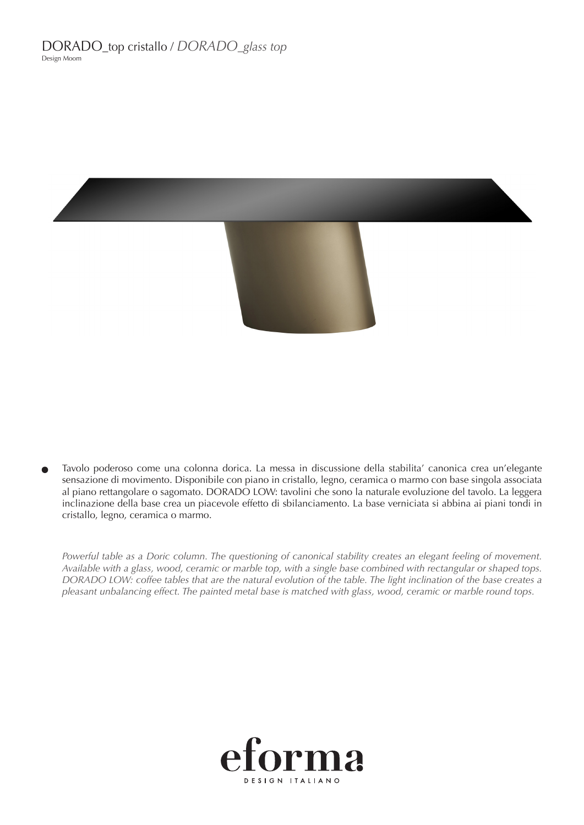

Tavolo poderoso come una colonna dorica. La messa in discussione della stabilita' canonica crea un'elegante sensazione di movimento. Disponibile con piano in cristallo, legno, ceramica o marmo con base singola associata al piano rettangolare o sagomato. DORADO LOW: tavolini che sono la naturale evoluzione del tavolo. La leggera inclinazione della base crea un piacevole effetto di sbilanciamento. La base verniciata si abbina ai piani tondi in cristallo, legno, ceramica o marmo.

Powerful table as a Doric column. The questioning of canonical stability creates an elegant feeling of movement. *Available with a glass, wood, ceramic or marble top, with a single base combined with rectangular or shaped tops. DORADO LOW: coffee tables that are the natural evolution of the table. The light inclination of the base creates a pleasant unbalancing effect. The painted metal base is matched with glass, wood, ceramic or marble round tops.*

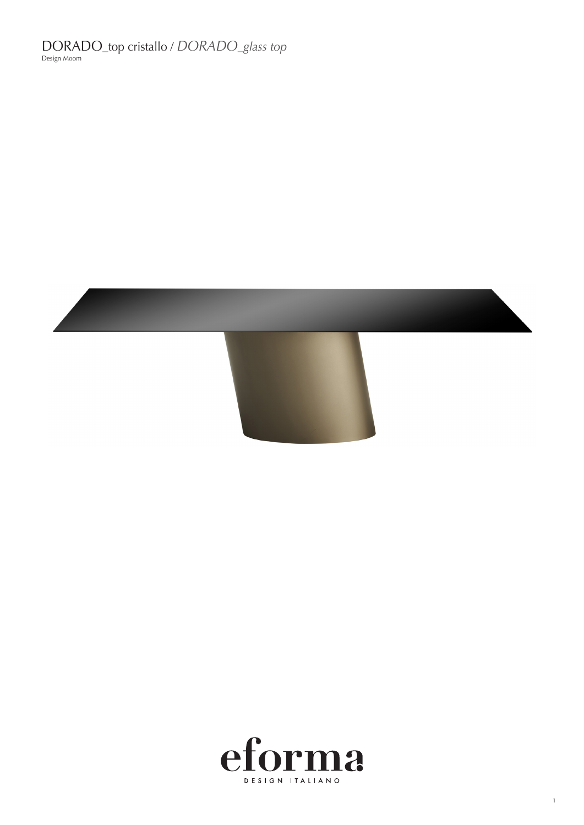DORADO\_top cristallo / *DORADO\_glass top* Design Moom





1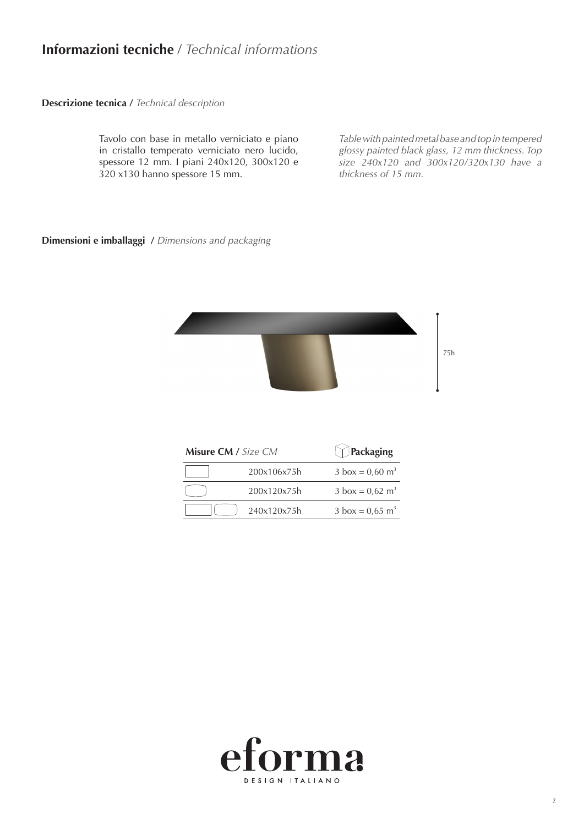## **Informazioni tecniche** / *Technical informations*

**Descrizione tecnica /** *Technical description*

Tavolo con base in metallo verniciato e piano in cristallo temperato verniciato nero lucido, spessore 12 mm. I piani 240x120, 300x120 e 320 x130 hanno spessore 15 mm.

*Table with painted metal base and top in tempered glossy painted black glass, 12 mm thickness. Top size 240x120 and 300x120/320x130 have a thickness of 15 mm.*

#### **Dimensioni e imballaggi /** *Dimensions and packaging*



| Misure CM / Size CM |             | <b>Packaging</b>                   |
|---------------------|-------------|------------------------------------|
|                     | 200x106x75h | $3 \text{ box} = 0.60 \text{ m}^3$ |
|                     | 200x120x75h | $3 \text{ box} = 0.62 \text{ m}^3$ |
|                     | 240x120x75h | $3 \text{ box} = 0.65 \text{ m}^3$ |